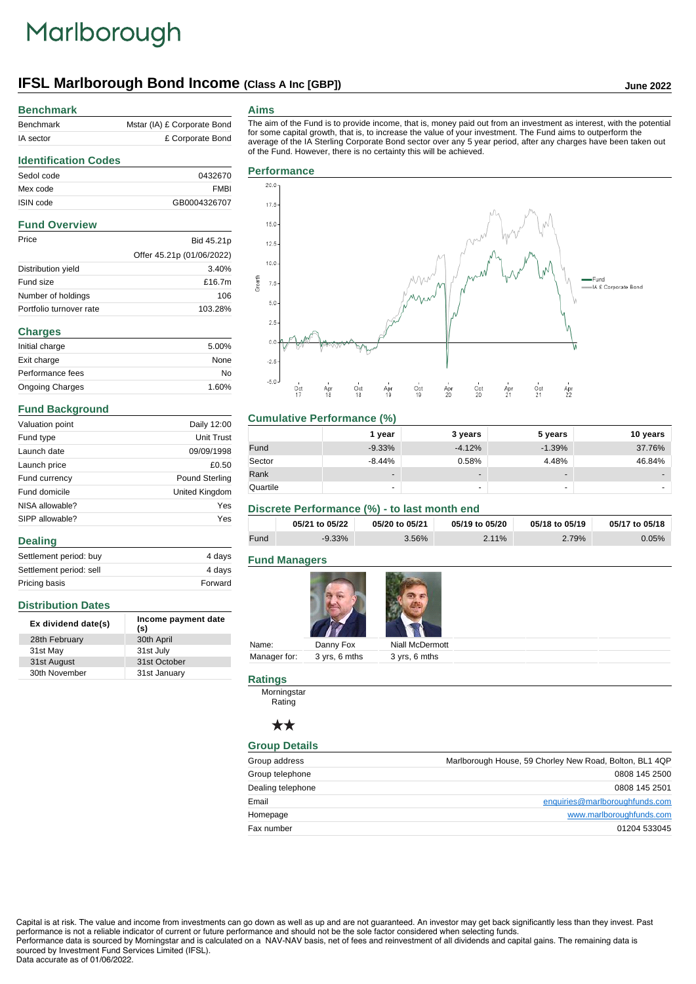# Marlborough

## **IFSL Marlborough Bond Income (Class A Inc [GBP]) June 2022**

# **Benchmark**

**Identification Codes**

| Benchmark | Mstar (IA) £ Corporate Bond |
|-----------|-----------------------------|
| IA sector | £ Corporate Bond            |

#### **Aims**

The aim of the Fund is to provide income, that is, money paid out from an investment as interest, with the potential for some capital growth, that is, to increase the value of your investment. The Fund aims to outperform the average of the IA Sterling Corporate Bond sector over any 5 year period, after any charges have been taken out of the Fund. However, there is no certainty this will be achieved.

## Sedol code 0432670 Mex code FMBI ISIN code GB0004326707 **Fund Overview** Price Bid 45.21p Offer 45.21p (01/06/2022) Distribution yield 3.40% Fund size **E16.7m** Number of holdings 106 Portfolio turnover rate 103.28% **Charges**

| Initial charge         | 5.00% |
|------------------------|-------|
| Exit charge            | None  |
| Performance fees       | No    |
| <b>Ongoing Charges</b> | 1.60% |

#### **Fund Background**

| Valuation point | Daily 12:00    |  |
|-----------------|----------------|--|
| Fund type       | Unit Trust     |  |
| Launch date     | 09/09/1998     |  |
| Launch price    | £0.50          |  |
| Fund currency   | Pound Sterling |  |
| Fund domicile   | United Kingdom |  |
| NISA allowable? | Yes            |  |
| SIPP allowable? | Yes            |  |
| <b>Dealing</b>  |                |  |

| $-0$                    |         |
|-------------------------|---------|
| Settlement period: buy  | 4 days  |
| Settlement period: sell | 4 days  |
| Pricing basis           | Forward |

#### **Distribution Dates**

| Ex dividend date(s) | Income payment date<br>(s) |
|---------------------|----------------------------|
| 28th February       | 30th April                 |
| 31st May            | 31st July                  |
| 31st August         | 31st October               |
| 30th November       | 31st January               |



#### **Cumulative Performance (%)**

|          | 1 year                   | 3 years                  | 5 years                  | 10 years |
|----------|--------------------------|--------------------------|--------------------------|----------|
| Fund     | $-9.33%$                 | $-4.12%$                 | $-1.39%$                 | 37.76%   |
| Sector   | $-8.44%$                 | 0.58%                    | 4.48%                    | 46.84%   |
| Rank     | $\overline{\phantom{a}}$ | $\overline{\phantom{0}}$ | $\overline{\phantom{a}}$ | -        |
| Quartile |                          | -                        |                          |          |

#### **Discrete Performance (%) - to last month end**

|      | 05/21 to 05/22 | 05/20 to 05/21 | 05/19 to 05/20 | 05/18 to 05/19 | 05/17 to 05/18 |
|------|----------------|----------------|----------------|----------------|----------------|
| Fund | $-9.33\%$      | 3.56%          | 2.11%          | 2.79%          | $0.05\%$       |

#### **Fund Managers**



|       | --                         | <b><i>CONTRACTOR COMMUNICATION</i></b> |
|-------|----------------------------|----------------------------------------|
| Name: | Danny Fox                  | Niall McDermott                        |
|       | Manager for: 3 yrs, 6 mths | 3 yrs, 6 mths                          |
|       |                            |                                        |

#### **Ratings**

Morningstar Rating

### $\star\star$

#### **Group Details**

| Group address     | Marlborough House, 59 Chorley New Road, Bolton, BL1 4QP |
|-------------------|---------------------------------------------------------|
| Group telephone   | 0808 145 2500                                           |
| Dealing telephone | 0808 145 2501                                           |
| Email             | enquiries@marlboroughfunds.com                          |
| Homepage          | www.marlboroughfunds.com                                |
| Fax number        | 01204 533045                                            |

Capital is at risk. The value and income from investments can go down as well as up and are not guaranteed. An investor may get back significantly less than they invest. Past performance is not a reliable indicator of current or future performance and should not be the sole factor considered when selecting funds. Performance data is sourced by Morningstar and is calculated on a NAV-NAV basis, net of fees and reinvestment of all dividends and capital gains. The remaining data is sourced by Investment Fund Services Limited (IFSL).

Data accurate as of 01/06/2022.